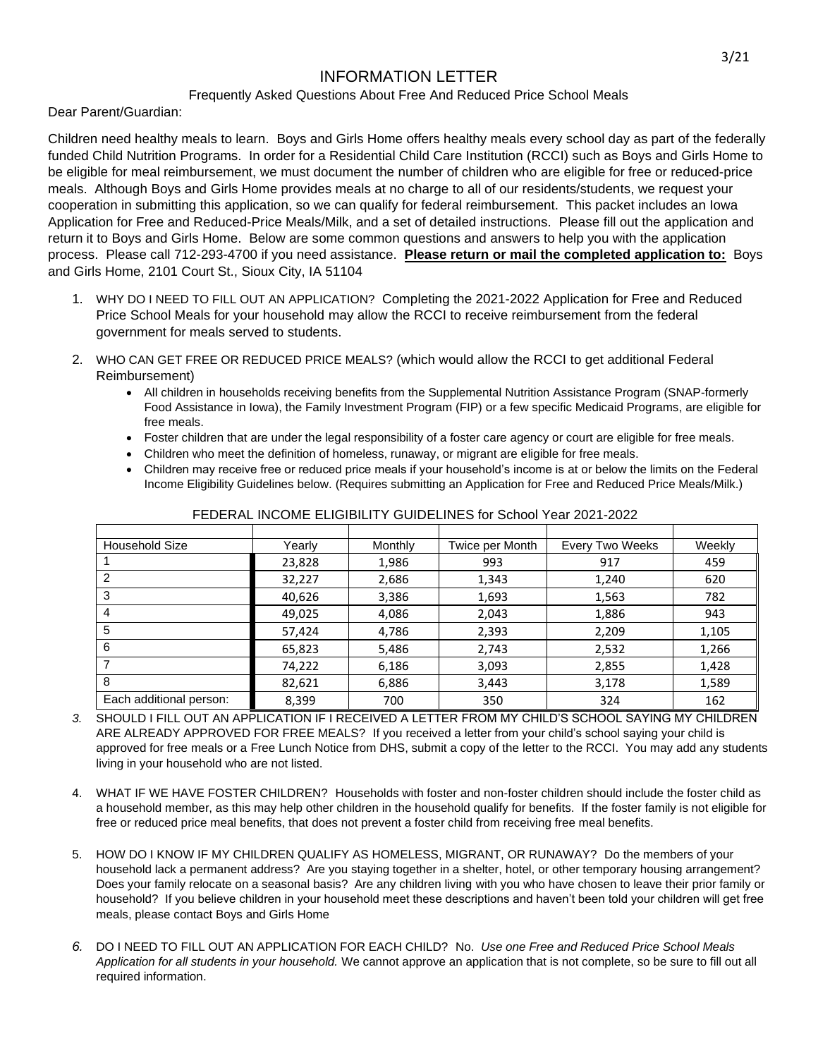## INFORMATION LETTER

## Frequently Asked Questions About Free And Reduced Price School Meals

Dear Parent/Guardian:

Children need healthy meals to learn. Boys and Girls Home offers healthy meals every school day as part of the federally funded Child Nutrition Programs. In order for a Residential Child Care Institution (RCCI) such as Boys and Girls Home to be eligible for meal reimbursement, we must document the number of children who are eligible for free or reduced-price meals. Although Boys and Girls Home provides meals at no charge to all of our residents/students, we request your cooperation in submitting this application, so we can qualify for federal reimbursement. This packet includes an Iowa Application for Free and Reduced-Price Meals/Milk, and a set of detailed instructions. Please fill out the application and return it to Boys and Girls Home. Below are some common questions and answers to help you with the application process. Please call 712-293-4700 if you need assistance. **Please return or mail the completed application to:** Boys and Girls Home, 2101 Court St., Sioux City, IA 51104

- 1. WHY DO I NEED TO FILL OUT AN APPLICATION? Completing the 2021-2022 Application for Free and Reduced Price School Meals for your household may allow the RCCI to receive reimbursement from the federal government for meals served to students.
- 2. WHO CAN GET FREE OR REDUCED PRICE MEALS? (which would allow the RCCI to get additional Federal Reimbursement)
	- All children in households receiving benefits from the Supplemental Nutrition Assistance Program (SNAP-formerly Food Assistance in Iowa), the Family Investment Program (FIP) or a few specific Medicaid Programs, are eligible for free meals.
	- Foster children that are under the legal responsibility of a foster care agency or court are eligible for free meals.
	- Children who meet the definition of homeless, runaway, or migrant are eligible for free meals.
	- Children may receive free or reduced price meals if your household's income is at or below the limits on the Federal Income Eligibility Guidelines below. (Requires submitting an Application for Free and Reduced Price Meals/Milk.)

| <b>Household Size</b>   | Yearly | Monthly | Twice per Month | <b>Every Two Weeks</b> | Weekly |
|-------------------------|--------|---------|-----------------|------------------------|--------|
|                         | 23,828 | 1,986   | 993             | 917                    | 459    |
| 2                       | 32,227 | 2,686   | 1,343           | 1,240                  | 620    |
| 3                       | 40,626 | 3,386   | 1,693           | 1,563                  | 782    |
| 4                       | 49,025 | 4,086   | 2,043           | 1,886                  | 943    |
| 5                       | 57,424 | 4,786   | 2,393           | 2,209                  | 1,105  |
| 6                       | 65,823 | 5,486   | 2,743           | 2,532                  | 1,266  |
|                         | 74,222 | 6,186   | 3,093           | 2,855                  | 1,428  |
| 8                       | 82,621 | 6,886   | 3,443           | 3,178                  | 1,589  |
| Each additional person: | 8,399  | 700     | 350             | 324                    | 162    |

FEDERAL INCOME ELIGIBILITY GUIDELINES for School Year 2021-2022

- *3.* SHOULD I FILL OUT AN APPLICATION IF I RECEIVED A LETTER FROM MY CHILD'S SCHOOL SAYING MY CHILDREN ARE ALREADY APPROVED FOR FREE MEALS? If you received a letter from your child's school saying your child is approved for free meals or a Free Lunch Notice from DHS, submit a copy of the letter to the RCCI. You may add any students living in your household who are not listed.
- 4. WHAT IF WE HAVE FOSTER CHILDREN? Households with foster and non-foster children should include the foster child as a household member, as this may help other children in the household qualify for benefits. If the foster family is not eligible for free or reduced price meal benefits, that does not prevent a foster child from receiving free meal benefits.
- 5. HOW DO I KNOW IF MY CHILDREN QUALIFY AS HOMELESS, MIGRANT, OR RUNAWAY? Do the members of your household lack a permanent address? Are you staying together in a shelter, hotel, or other temporary housing arrangement? Does your family relocate on a seasonal basis? Are any children living with you who have chosen to leave their prior family or household? If you believe children in your household meet these descriptions and haven't been told your children will get free meals, please contact Boys and Girls Home
- *6.* DO I NEED TO FILL OUT AN APPLICATION FOR EACH CHILD?No.*Use one Free and Reduced Price School Meals Application for all students in your household.* We cannot approve an application that is not complete, so be sure to fill out all required information.